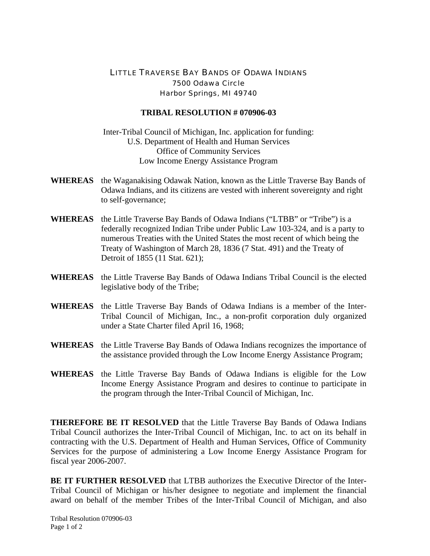## LITTLE TRAVERSE BAY BANDS OF ODAWA INDIANS 7500 Odawa Circle Harbor Springs, MI 49740

## **TRIBAL RESOLUTION # 070906-03**

Inter-Tribal Council of Michigan, Inc. application for funding: U.S. Department of Health and Human Services Office of Community Services Low Income Energy Assistance Program

- **WHEREAS** the Waganakising Odawak Nation, known as the Little Traverse Bay Bands of Odawa Indians, and its citizens are vested with inherent sovereignty and right to self-governance;
- **WHEREAS** the Little Traverse Bay Bands of Odawa Indians ("LTBB" or "Tribe") is a federally recognized Indian Tribe under Public Law 103-324, and is a party to numerous Treaties with the United States the most recent of which being the Treaty of Washington of March 28, 1836 (7 Stat. 491) and the Treaty of Detroit of 1855 (11 Stat. 621);
- **WHEREAS** the Little Traverse Bay Bands of Odawa Indians Tribal Council is the elected legislative body of the Tribe;
- **WHEREAS** the Little Traverse Bay Bands of Odawa Indians is a member of the Inter-Tribal Council of Michigan, Inc., a non-profit corporation duly organized under a State Charter filed April 16, 1968;
- **WHEREAS** the Little Traverse Bay Bands of Odawa Indians recognizes the importance of the assistance provided through the Low Income Energy Assistance Program;
- **WHEREAS** the Little Traverse Bay Bands of Odawa Indians is eligible for the Low Income Energy Assistance Program and desires to continue to participate in the program through the Inter-Tribal Council of Michigan, Inc.

**THEREFORE BE IT RESOLVED** that the Little Traverse Bay Bands of Odawa Indians Tribal Council authorizes the Inter-Tribal Council of Michigan, Inc. to act on its behalf in contracting with the U.S. Department of Health and Human Services, Office of Community Services for the purpose of administering a Low Income Energy Assistance Program for fiscal year 2006-2007.

**BE IT FURTHER RESOLVED** that LTBB authorizes the Executive Director of the Inter-Tribal Council of Michigan or his/her designee to negotiate and implement the financial award on behalf of the member Tribes of the Inter-Tribal Council of Michigan, and also